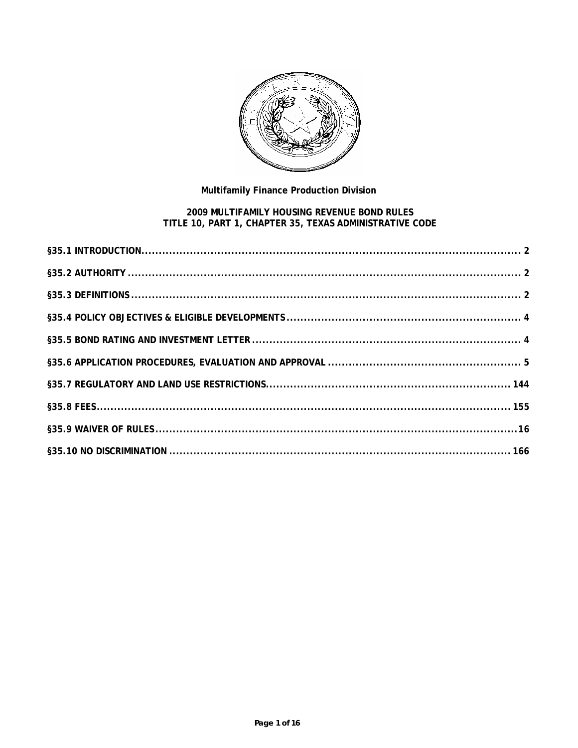

# Multifamily Finance Production Division

# 2009 MULTIFAMILY HOUSING REVENUE BOND RULES<br>TITLE 10, PART 1, CHAPTER 35, TEXAS ADMINISTRATIVE CODE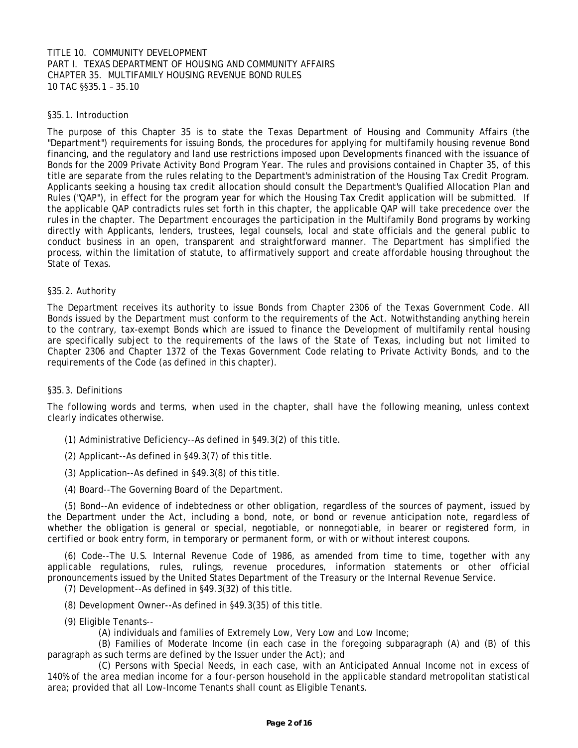# TITLE 10. COMMUNITY DEVELOPMENT PART I. TEXAS DEPARTMENT OF HOUSING AND COMMUNITY AFFAIRS CHAPTER 35. MULTIFAMILY HOUSING REVENUE BOND RULES 10 TAC §§35.1 – 35.10

### §35.1. Introduction

The purpose of this Chapter 35 is to state the Texas Department of Housing and Community Affairs (the "Department") requirements for issuing Bonds, the procedures for applying for multifamily housing revenue Bond financing, and the regulatory and land use restrictions imposed upon Developments financed with the issuance of Bonds for the 2009 Private Activity Bond Program Year. The rules and provisions contained in Chapter 35, of this title are separate from the rules relating to the Department's administration of the Housing Tax Credit Program. Applicants seeking a housing tax credit allocation should consult the Department's Qualified Allocation Plan and Rules ("QAP"), in effect for the program year for which the Housing Tax Credit application will be submitted. If the applicable QAP contradicts rules set forth in this chapter, the applicable QAP will take precedence over the rules in the chapter. The Department encourages the participation in the Multifamily Bond programs by working directly with Applicants, lenders, trustees, legal counsels, local and state officials and the general public to conduct business in an open, transparent and straightforward manner. The Department has simplified the process, within the limitation of statute, to affirmatively support and create affordable housing throughout the State of Texas.

#### §35.2. Authority

The Department receives its authority to issue Bonds from Chapter 2306 of the Texas Government Code. All Bonds issued by the Department must conform to the requirements of the Act. Notwithstanding anything herein to the contrary, tax-exempt Bonds which are issued to finance the Development of multifamily rental housing are specifically subject to the requirements of the laws of the State of Texas, including but not limited to Chapter 2306 and Chapter 1372 of the Texas Government Code relating to Private Activity Bonds, and to the requirements of the Code (as defined in this chapter).

# §35.3. Definitions

clearly indicates otherwise. The following words and terms, when used in the chapter, shall have the following meaning, unless context

- (1) Administrative Deficiency--As defined in §49.3(2) of this title.
- (2) Applicant--As defined in §49.3(7) of this title.
- (3) Application--As defined in §49.3(8) of this title.
- (4) Board--The Governing Board of the Department.

(5) Bond--An evidence of indebtedness or other obligation, regardless of the sources of payment, issued by the Department under the Act, including a bond, note, or bond or revenue anticipation note, regardless of whether the obligation is general or special, negotiable, or nonnegotiable, in bearer or registered form, in certified or book entry form, in temporary or permanent form, or with or without interest coupons.

 pronouncements issued by the United States Department of the Treasury or the Internal Revenue Service. (6) Code--The U.S. Internal Revenue Code of 1986, as amended from time to time, together with any applicable regulations, rules, rulings, revenue procedures, information statements or other official

(7) Development--As defined in §49.3(32) of this title.

- (8) Development Owner--As defined in §49.3(35) of this title.
- (9) Eligible Tenants--
	- (A) individuals and families of Extremely Low, Very Low and Low Income;

(B) Families of Moderate Income (in each case in the foregoing subparagraph (A) and (B) of this paragraph as such terms are defined by the Issuer under the Act); and

(C) Persons with Special Needs, in each case, with an Anticipated Annual Income not in excess of 140% of the area median income for a four-person household in the applicable standard metropolitan statistical area; provided that all Low-Income Tenants shall count as Eligible Tenants.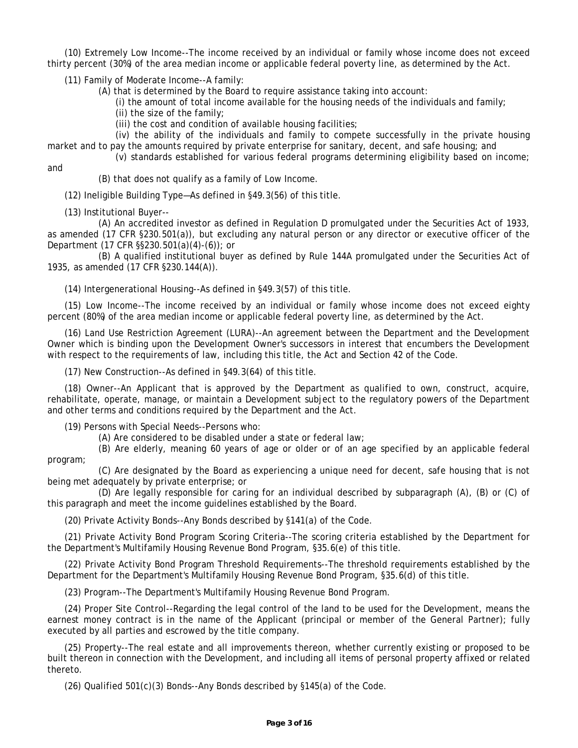(10) Extremely Low Income--The income received by an individual or family whose income does not exceed thirty percent (30%) of the area median income or applicable federal poverty line, as determined by the Act.

(11) Family of Moderate Income--A family:

(A) that is determined by the Board to require assistance taking into account:

(i) the amount of total income available for the housing needs of the individuals and family;

- (ii) the size of the family;
- (iii) the cost and condition of available housing facilities;

(iv) the ability of the individuals and family to compete successfully in the private housing market and to pay the amounts required by private enterprise for sanitary, decent, and safe housing; and

(v) standards established for various federal programs determining eligibility based on income;

and

(B) that does not qualify as a family of Low Income.

(12) Ineligible Building Type—As defined in §49.3(56) of this title.<br>(13) Institutional Buyer--

(A) An accredited investor as defined in Regulation D promulgated under the Securities Act of 1933, as amended (17 CFR §230.501(a)), but excluding any natural person or any director or executive officer of the Department (17 CFR §§230.501(a)(4)-(6)); or

(B) A qualified institutional buyer as defined by Rule 144A promulgated under the Securities Act of 1935, as amended (17 CFR §230.144(A)).

(14) Intergenerational Housing--As defined in §49.3(57) of this title.

(15) Low Income--The income received by an individual or family whose income does not exceed eighty percent (80%) of the area median income or applicable federal poverty line, as determined by the Act.

(16) Land Use Restriction Agreement (LURA)--An agreement between the Department and the Development Owner which is binding upon the Development Owner's successors in interest that encumbers the Development with respect to the requirements of law, including this title, the Act and Section 42 of the Code.

(17) New Construction--As defined in §49.3(64) of this title.

(18) Owner--An Applicant that is approved by the Department as qualified to own, construct, acquire, rehabilitate, operate, manage, or maintain a Development subject to the regulatory powers of the Department and other terms and conditions required by the Department and the Act.

(19) Persons with Special Needs--Persons who:

(A) Are considered to be disabled under a state or federal law;

(B) Are elderly, meaning 60 years of age or older or of an age specified by an applicable federal program;

(C) Are designated by the Board as experiencing a unique need for decent, safe housing that is not being met adequately by private enterprise; or

(D) Are legally responsible for caring for an individual described by subparagraph (A), (B) or (C) of this paragraph and meet the income guidelines established by the Board.

(20) Private Activity Bonds--Any Bonds described by §141(a) of the Code.

(21) Private Activity Bond Program Scoring Criteria--The scoring criteria established by the Department for the Department's Multifamily Housing Revenue Bond Program, §35.6(e) of this title.

(22) Private Activity Bond Program Threshold Requirements--The threshold requirements established by the Department for the Department's Multifamily Housing Revenue Bond Program, §35.6(d) of this title.

(23) Program--The Department's Multifamily Housing Revenue Bond Program.

(24) Proper Site Control--Regarding the legal control of the land to be used for the Development, means the earnest money contract is in the name of the Applicant (principal or member of the General Partner); fully executed by all parties and escrowed by the title company.

(25) Property--The real estate and all improvements thereon, whether currently existing or proposed to be built thereon in connection with the Development, and including all items of personal property affixed or related thereto.

(26) Qualified 501(c)(3) Bonds--Any Bonds described by §145(a) of the Code.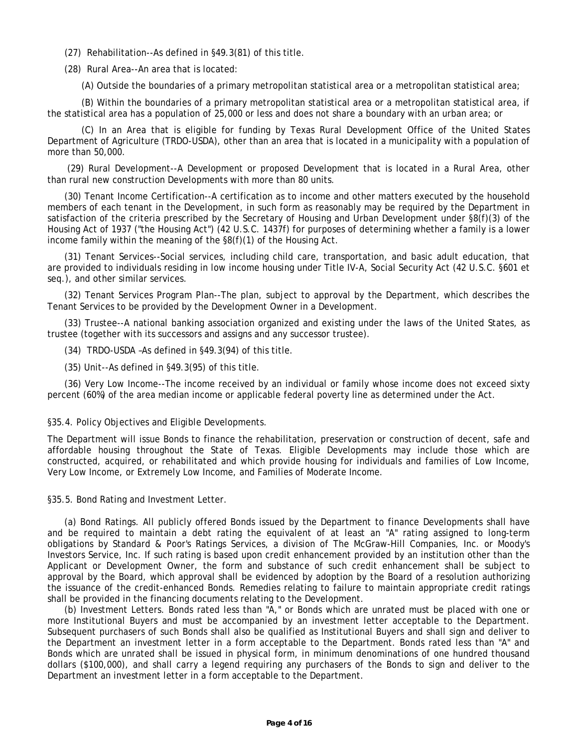(27) Rehabilitation--As defined in §49.3(81) of this title.

(28) Rural Area--An area that is located:

(A) Outside the boundaries of a primary metropolitan statistical area or a metropolitan statistical area;

(B) Within the boundaries of a primary metropolitan statistical area or a metropolitan statistical area, if the statistical area has a population of 25,000 or less and does not share a boundary with an urban area; or

(C) In an Area that is eligible for funding by Texas Rural Development Office of the United States Department of Agriculture (TRDO-USDA), other than an area that is located in a municipality with a population of more than 50,000.

(29) Rural Development--A Development or proposed Development that is located in a Rural Area, other than rural new construction Developments with more than 80 units.

(30) Tenant Income Certification--A certification as to income and other matters executed by the household members of each tenant in the Development, in such form as reasonably may be required by the Department in satisfaction of the criteria prescribed by the Secretary of Housing and Urban Development under §8(f)(3) of the Housing Act of 1937 ("the Housing Act") (42 U.S.C. 1437f) for purposes of determining whether a family is a lower income family within the meaning of the §8(f)(1) of the Housing Act.

(31) Tenant Services--Social services, including child care, transportation, and basic adult education, that are provided to individuals residing in low income housing under Title IV-A, Social Security Act (42 U.S.C. §601 et seq.), and other similar services.

(32) Tenant Services Program Plan--The plan, subject to approval by the Department, which describes the Tenant Services to be provided by the Development Owner in a Development.

(33) Trustee--A national banking association organized and existing under the laws of the United States, as trustee (together with its successors and assigns and any successor trustee).

(34) TRDO-USDA –As defined in §49.3(94) of this title.

(35) Unit--As defined in §49.3(95) of this title.

(36) Very Low Income--The income received by an individual or family whose income does not exceed sixty percent (60%) of the area median income or applicable federal poverty line as determined under the Act.

#### §35.4. Policy Objectives and Eligible Developments.

The Department will issue Bonds to finance the rehabilitation, preservation or construction of decent, safe and affordable housing throughout the State of Texas. Eligible Developments may include those which are constructed, acquired, or rehabilitated and which provide housing for individuals and families of Low Income, Very Low Income, or Extremely Low Income, and Families of Moderate Income.

§35.5. Bond Rating and Investment Letter.

(a) Bond Ratings. All publicly offered Bonds issued by the Department to finance Developments shall have and be required to maintain a debt rating the equivalent of at least an "A" rating assigned to long-term obligations by Standard & Poor's Ratings Services, a division of The McGraw-Hill Companies, Inc. or Moody's Investors Service, Inc. If such rating is based upon credit enhancement provided by an institution other than the Applicant or Development Owner, the form and substance of such credit enhancement shall be subject to approval by the Board, which approval shall be evidenced by adoption by the Board of a resolution authorizing the issuance of the credit-enhanced Bonds. Remedies relating to failure to maintain appropriate credit ratings shall be provided in the financing documents relating to the Development.

(b) Investment Letters. Bonds rated less than "A," or Bonds which are unrated must be placed with one or more Institutional Buyers and must be accompanied by an investment letter acceptable to the Department. Subsequent purchasers of such Bonds shall also be qualified as Institutional Buyers and shall sign and deliver to the Department an investment letter in a form acceptable to the Department. Bonds rated less than "A" and Bonds which are unrated shall be issued in physical form, in minimum denominations of one hundred thousand dollars (\$100,000), and shall carry a legend requiring any purchasers of the Bonds to sign and deliver to the Department an investment letter in a form acceptable to the Department.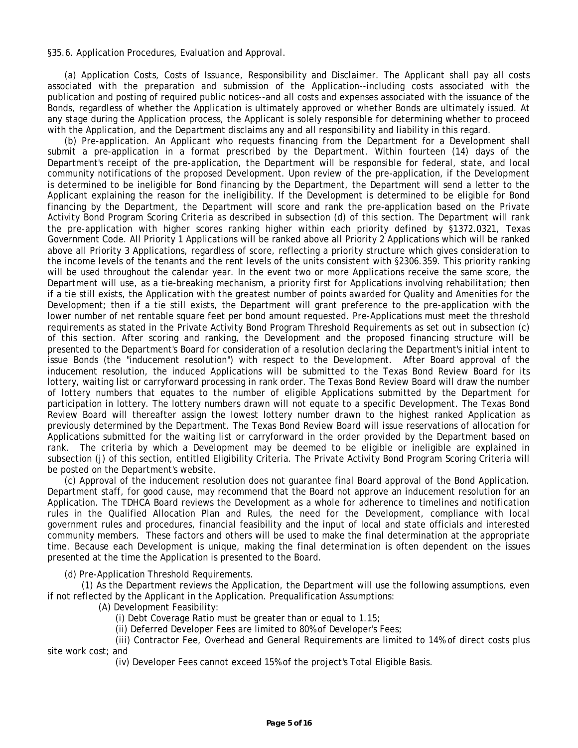§35.6. Application Procedures, Evaluation and Approval.

with the Application, and the Department disclaims any and all responsibility and liability in this regard. (a) Application Costs, Costs of Issuance, Responsibility and Disclaimer. The Applicant shall pay all costs associated with the preparation and submission of the Application--including costs associated with the publication and posting of required public notices--and all costs and expenses associated with the issuance of the Bonds, regardless of whether the Application is ultimately approved or whether Bonds are ultimately issued. At any stage during the Application process, the Applicant is solely responsible for determining whether to proceed

 if a tie still exists, the Application with the greatest number of points awarded for Quality and Amenities for the be posted on the Department's website. (b) Pre-application. An Applicant who requests financing from the Department for a Development shall submit a pre-application in a format prescribed by the Department. Within fourteen (14) days of the Department's receipt of the pre-application, the Department will be responsible for federal, state, and local community notifications of the proposed Development. Upon review of the pre-application, if the Development is determined to be ineligible for Bond financing by the Department, the Department will send a letter to the Applicant explaining the reason for the ineligibility. If the Development is determined to be eligible for Bond financing by the Department, the Department will score and rank the pre-application based on the Private Activity Bond Program Scoring Criteria as described in subsection (d) of this section. The Department will rank the pre-application with higher scores ranking higher within each priority defined by §1372.0321, Texas Government Code. All Priority 1 Applications will be ranked above all Priority 2 Applications which will be ranked above all Priority 3 Applications, regardless of score, reflecting a priority structure which gives consideration to the income levels of the tenants and the rent levels of the units consistent with §2306.359. This priority ranking will be used throughout the calendar year. In the event two or more Applications receive the same score, the Department will use, as a tie-breaking mechanism, a priority first for Applications involving rehabilitation; then Development; then if a tie still exists, the Department will grant preference to the pre-application with the lower number of net rentable square feet per bond amount requested. Pre-Applications must meet the threshold requirements as stated in the Private Activity Bond Program Threshold Requirements as set out in subsection (c) of this section. After scoring and ranking, the Development and the proposed financing structure will be presented to the Department's Board for consideration of a resolution declaring the Department's initial intent to issue Bonds (the "inducement resolution") with respect to the Development. After Board approval of the inducement resolution, the induced Applications will be submitted to the Texas Bond Review Board for its lottery, waiting list or carryforward processing in rank order. The Texas Bond Review Board will draw the number of lottery numbers that equates to the number of eligible Applications submitted by the Department for participation in lottery. The lottery numbers drawn will not equate to a specific Development. The Texas Bond Review Board will thereafter assign the lowest lottery number drawn to the highest ranked Application as previously determined by the Department. The Texas Bond Review Board will issue reservations of allocation for Applications submitted for the waiting list or carryforward in the order provided by the Department based on rank. The criteria by which a Development may be deemed to be eligible or ineligible are explained in subsection (j) of this section, entitled Eligibility Criteria. The Private Activity Bond Program Scoring Criteria will

(c) Approval of the inducement resolution does not guarantee final Board approval of the Bond Application. Department staff, for good cause, may recommend that the Board not approve an inducement resolution for an Application. The TDHCA Board reviews the Development as a whole for adherence to timelines and notification rules in the Qualified Allocation Plan and Rules, the need for the Development, compliance with local government rules and procedures, financial feasibility and the input of local and state officials and interested community members. These factors and others will be used to make the final determination at the appropriate time. Because each Development is unique, making the final determination is often dependent on the issues presented at the time the Application is presented to the Board.

(d) Pre-Application Threshold Requirements.

 if not reflected by the Applicant in the Application. Prequalification Assumptions: (A) Development Feasibility: (1) As the Department reviews the Application, the Department will use the following assumptions, even

- (i) Debt Coverage Ratio must be greater than or equal to 1.15;
- (ii) Deferred Developer Fees are limited to 80% of Developer's Fees;

(iii) Contractor Fee, Overhead and General Requirements are limited to 14% of direct costs plus site work cost; and

(iv) Developer Fees cannot exceed 15% of the project's Total Eligible Basis.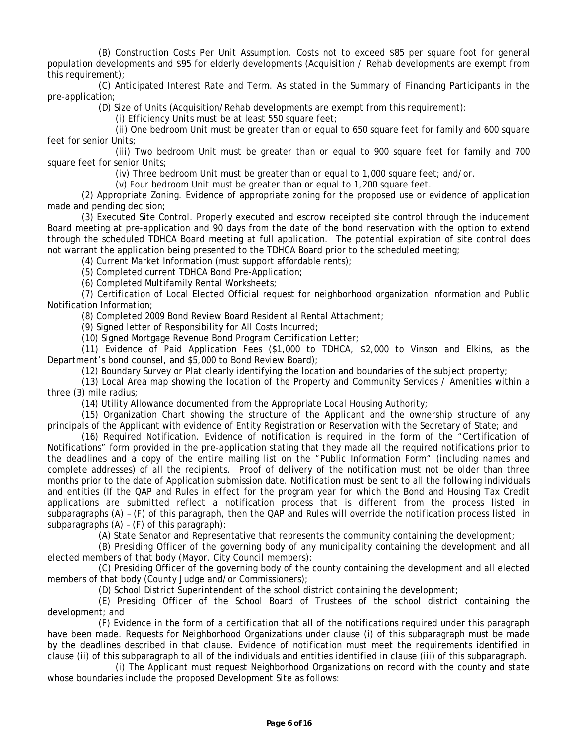(B) Construction Costs Per Unit Assumption. Costs not to exceed \$85 per square foot for general population developments and \$95 for elderly developments (Acquisition / Rehab developments are exempt from this requirement);

(C) Anticipated Interest Rate and Term. As stated in the Summary of Financing Participants in the pre-application;

(D) Size of Units (Acquisition/Rehab developments are exempt from this requirement):

(i) Efficiency Units must be at least 550 square feet;

(ii) One bedroom Unit must be greater than or equal to 650 square feet for family and 600 square feet for senior Units;

(iii) Two bedroom Unit must be greater than or equal to 900 square feet for family and 700 square feet for senior Units;

(iv) Three bedroom Unit must be greater than or equal to 1,000 square feet; and/or.

(v) Four bedroom Unit must be greater than or equal to 1,200 square feet.

(2) Appropriate Zoning. Evidence of appropriate zoning for the proposed use or evidence of application made and pending decision;

 through the scheduled TDHCA Board meeting at full application. The potential expiration of site control does (3) Executed Site Control. Properly executed and escrow receipted site control through the inducement Board meeting at pre-application and 90 days from the date of the bond reservation with the option to extend not warrant the application being presented to the TDHCA Board prior to the scheduled meeting;

(4) Current Market Information (must support affordable rents);

(5) Completed current TDHCA Bond Pre-Application;

(6) Completed Multifamily Rental Worksheets;

(7) Certification of Local Elected Official request for neighborhood organization information and Public Notification Information;

(8) Completed 2009 Bond Review Board Residential Rental Attachment;

(9) Signed letter of Responsibility for All Costs Incurred;

(10) Signed Mortgage Revenue Bond Program Certification Letter;

(11) Evidence of Paid Application Fees (\$1,000 to TDHCA, \$2,000 to Vinson and Elkins, as the Department's bond counsel, and \$5,000 to Bond Review Board);

(12) Boundary Survey or Plat clearly identifying the location and boundaries of the subject property;

(13) Local Area map showing the location of the Property and Community Services / Amenities within a three (3) mile radius;

(14) Utility Allowance documented from the Appropriate Local Housing Authority;

(15) Organization Chart showing the structure of the Applicant and the ownership structure of any principals of the Applicant with evidence of Entity Registration or Reservation with the Secretary of State; and

(16) Required Notification. Evidence of notification is required in the form of the "Certification of Notifications" form provided in the pre-application stating that they made all the required notifications prior to the deadlines and a copy of the entire mailing list on the "Public Information Form" (including names and complete addresses) of all the recipients. Proof of delivery of the notification must not be older than three months prior to the date of Application submission date. Notification must be sent to all the following individuals and entities (If the QAP and Rules in effect for the program year for which the Bond and Housing Tax Credit applications are submitted reflect a notification process that is different from the process listed in subparagraphs (A) – (F) of this paragraph, then the QAP and Rules will override the notification process listed in subparagraphs (A) – (F) of this paragraph):

(A) State Senator and Representative that represents the community containing the development;

(B) Presiding Officer of the governing body of any municipality containing the development and all elected members of that body (Mayor, City Council members);

(C) Presiding Officer of the governing body of the county containing the development and all elected members of that body (County Judge and/or Commissioners);

(D) School District Superintendent of the school district containing the development;

(E) Presiding Officer of the School Board of Trustees of the school district containing the development; and

(F) Evidence in the form of a certification that all of the notifications required under this paragraph have been made. Requests for Neighborhood Organizations under clause (i) of this subparagraph must be made by the deadlines described in that clause. Evidence of notification must meet the requirements identified in clause (ii) of this subparagraph to all of the individuals and entities identified in clause (iii) of this subparagraph.

(i) The Applicant must request Neighborhood Organizations on record with the county and state whose boundaries include the proposed Development Site as follows: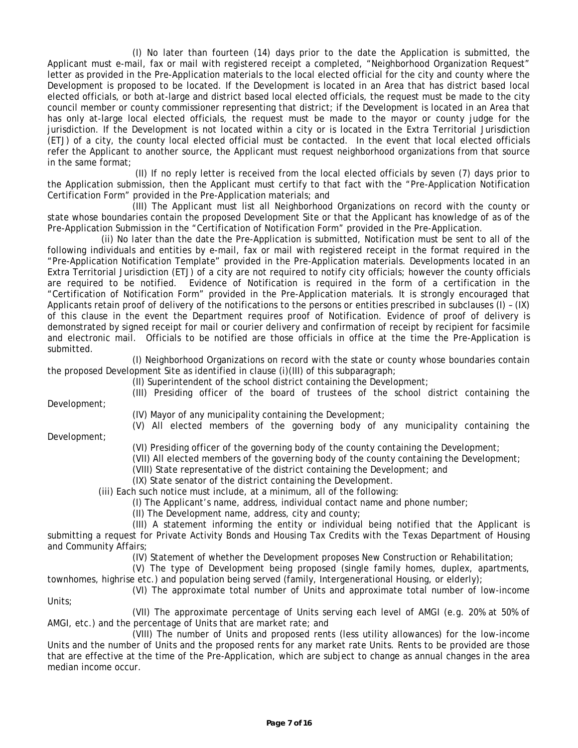(I) No later than fourteen (14) days prior to the date the Application is submitted, the Applicant must e-mail, fax or mail with registered receipt a completed, "Neighborhood Organization Request" letter as provided in the Pre-Application materials to the local elected official for the city and county where the Development is proposed to be located. If the Development is located in an Area that has district based local elected officials, or both at-large and district based local elected officials, the request must be made to the city council member or county commissioner representing that district; if the Development is located in an Area that has only at-large local elected officials, the request must be made to the mayor or county judge for the jurisdiction. If the Development is not located within a city or is located in the Extra Territorial Jurisdiction (ETJ) of a city, the county local elected official must be contacted. In the event that local elected officials refer the Applicant to another source, the Applicant must request neighborhood organizations from that source in the same format;

(II) If no reply letter is received from the local elected officials by seven (7) days prior to the Application submission, then the Applicant must certify to that fact with the "Pre-Application Notification Certification Form" provided in the Pre-Application materials; and

(III) The Applicant must list all Neighborhood Organizations on record with the county or state whose boundaries contain the proposed Development Site or that the Applicant has knowledge of as of the Pre-Application Submission in the "Certification of Notification Form" provided in the Pre-Application.

(ii) No later than the date the Pre-Application is submitted, Notification must be sent to all of the following individuals and entities by e-mail, fax or mail with registered receipt in the format required in the "Pre-Application Notification Template" provided in the Pre-Application materials. Developments located in an Extra Territorial Jurisdiction (ETJ) of a city are not required to notify city officials; however the county officials are required to be notified. Evidence of Notification is required in the form of a certification in the "Certification of Notification Form" provided in the Pre-Application materials. It is strongly encouraged that Applicants retain proof of delivery of the notifications to the persons or entities prescribed in subclauses (I) – (IX) of this clause in the event the Department requires proof of Notification. Evidence of proof of delivery is demonstrated by signed receipt for mail or courier delivery and confirmation of receipt by recipient for facsimile and electronic mail. Officials to be notified are those officials in office at the time the Pre-Application is submitted.

(I) Neighborhood Organizations on record with the state or county whose boundaries contain the proposed Development Site as identified in clause (i)(III) of this subparagraph;

(II) Superintendent of the school district containing the Development;

(III) Presiding officer of the board of trustees of the school district containing the

Development;

Development;

(IV) Mayor of any municipality containing the Development;

(V) All elected members of the governing body of any municipality containing the

(VI) Presiding officer of the governing body of the county containing the Development;

(VII) All elected members of the governing body of the county containing the Development; (VIII) State representative of the district containing the Development; and

(IX) State senator of the district containing the Development.

(iii) Each such notice must include, at a minimum, all of the following:

(I) The Applicant's name, address, individual contact name and phone number;

(II) The Development name, address, city and county;

 submitting a request for Private Activity Bonds and Housing Tax Credits with the Texas Department of Housing (III) A statement informing the entity or individual being notified that the Applicant is and Community Affairs;

(IV) Statement of whether the Development proposes New Construction or Rehabilitation;

(V) The type of Development being proposed (single family homes, duplex, apartments,

townhomes, highrise etc.) and population being served (family, Intergenerational Housing, or elderly);

(VI) The approximate total number of Units and approximate total number of low-income Units;

(VII) The approximate percentage of Units serving each level of AMGI (e.g. 20% at 50% of AMGI, etc.) and the percentage of Units that are market rate; and

(VIII) The number of Units and proposed rents (less utility allowances) for the low-income Units and the number of Units and the proposed rents for any market rate Units. Rents to be provided are those that are effective at the time of the Pre-Application, which are subject to change as annual changes in the area median income occur.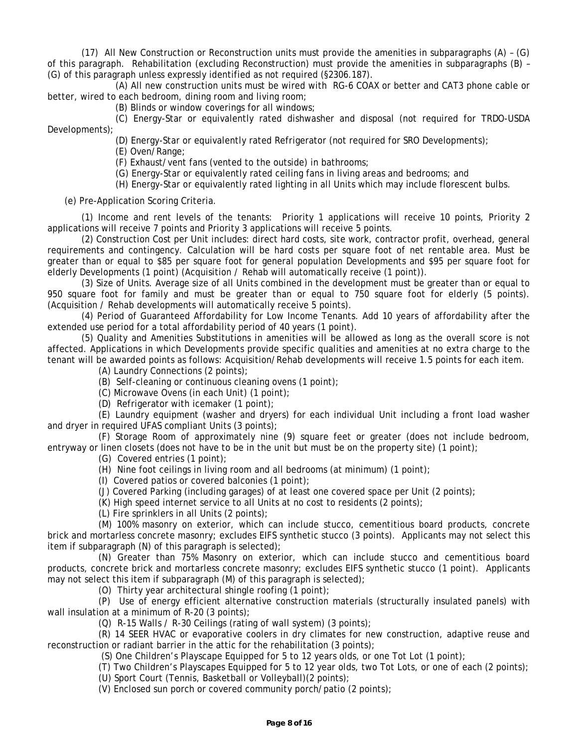(17) All New Construction or Reconstruction units must provide the amenities in subparagraphs (A) – (G) of this paragraph. Rehabilitation (excluding Reconstruction) must provide the amenities in subparagraphs (B) – (G) of this paragraph unless expressly identified as not required (§2306.187).

(A) All new construction units must be wired with RG-6 COAX or better and CAT3 phone cable or better, wired to each bedroom, dining room and living room;

(B) Blinds or window coverings for all windows;

(C) Energy-Star or equivalently rated dishwasher and disposal (not required for TRDO-USDA Developments);

(D) Energy-Star or equivalently rated Refrigerator (not required for SRO Developments);

(E) Oven/Range;

(F) Exhaust/vent fans (vented to the outside) in bathrooms;

(G) Energy-Star or equivalently rated ceiling fans in living areas and bedrooms; and

(H) Energy-Star or equivalently rated lighting in all Units which may include florescent bulbs.

(e) Pre-Application Scoring Criteria.

(1) Income and rent levels of the tenants: Priority 1 applications will receive 10 points, Priority 2 applications will receive 7 points and Priority 3 applications will receive 5 points.

(2) Construction Cost per Unit includes: direct hard costs, site work, contractor profit, overhead, general requirements and contingency. Calculation will be hard costs per square foot of net rentable area. Must be greater than or equal to \$85 per square foot for general population Developments and \$95 per square foot for elderly Developments (1 point) (Acquisition / Rehab will automatically receive (1 point)).

(3) Size of Units. Average size of all Units combined in the development must be greater than or equal to 950 square foot for family and must be greater than or equal to 750 square foot for elderly (5 points). (Acquisition / Rehab developments will automatically receive 5 points).

(4) Period of Guaranteed Affordability for Low Income Tenants. Add 10 years of affordability after the extended use period for a total affordability period of 40 years (1 point).

(5) Quality and Amenities Substitutions in amenities will be allowed as long as the overall score is not affected. Applications in which Developments provide specific qualities and amenities at no extra charge to the tenant will be awarded points as follows: Acquisition/Rehab developments will receive 1.5 points for each item.

(A) Laundry Connections (2 points);

(B) Self-cleaning or continuous cleaning ovens (1 point);

(C) Microwave Ovens (in each Unit) (1 point);

(D) Refrigerator with icemaker (1 point);

(E) Laundry equipment (washer and dryers) for each individual Unit including a front load washer and dryer in required UFAS compliant Units (3 points);

(F) Storage Room of approximately nine (9) square feet or greater (does not include bedroom, entryway or linen closets (does not have to be in the unit but must be on the property site) (1 point);

(G) Covered entries (1 point);

(H) Nine foot ceilings in living room and all bedrooms (at minimum) (1 point);

(I) Covered patios or covered balconies (1 point);

(J) Covered Parking (including garages) of at least one covered space per Unit (2 points);

(K) High speed internet service to all Units at no cost to residents (2 points);

(L) Fire sprinklers in all Units (2 points);

(M) 100% masonry on exterior, which can include stucco, cementitious board products, concrete brick and mortarless concrete masonry; excludes EIFS synthetic stucco (3 points). Applicants may not select this item if subparagraph (N) of this paragraph is selected);

(N) Greater than 75% Masonry on exterior, which can include stucco and cementitious board products, concrete brick and mortarless concrete masonry; excludes EIFS synthetic stucco (1 point). Applicants may not select this item if subparagraph (M) of this paragraph is selected);

(O) Thirty year architectural shingle roofing (1 point);

(P) Use of energy efficient alternative construction materials (structurally insulated panels) with wall insulation at a minimum of R-20 (3 points);

(Q) R-15 Walls / R-30 Ceilings (rating of wall system) (3 points);

(R) 14 SEER HVAC or evaporative coolers in dry climates for new construction, adaptive reuse and reconstruction or radiant barrier in the attic for the rehabilitation (3 points);

(S) One Children's Playscape Equipped for 5 to 12 years olds, or one Tot Lot (1 point);

(T) Two Children's Playscapes Equipped for 5 to 12 year olds, two Tot Lots, or one of each (2 points);

(U) Sport Court (Tennis, Basketball or Volleyball)(2 points);

(V) Enclosed sun porch or covered community porch/patio (2 points);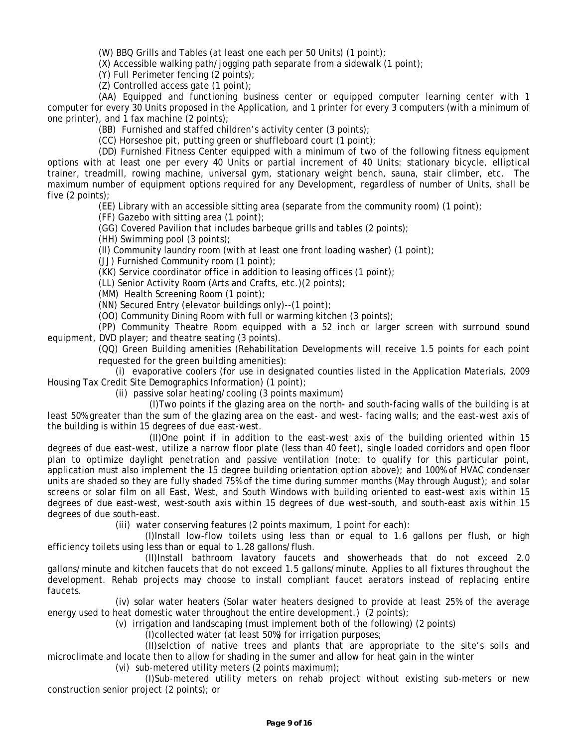(W) BBQ Grills and Tables (at least one each per 50 Units) (1 point);

(X) Accessible walking path/jogging path separate from a sidewalk (1 point);

(Y) Full Perimeter fencing (2 points);

(Z) Controlled access gate (1 point);

(AA) Equipped and functioning business center or equipped computer learning center with 1 computer for every 30 Units proposed in the Application, and 1 printer for every 3 computers (with a minimum of one printer), and 1 fax machine (2 points);

(BB) Furnished and staffed children's activity center (3 points);

(CC) Horseshoe pit, putting green or shuffleboard court (1 point);

(DD) Furnished Fitness Center equipped with a minimum of two of the following fitness equipment options with at least one per every 40 Units or partial increment of 40 Units: stationary bicycle, elliptical trainer, treadmill, rowing machine, universal gym, stationary weight bench, sauna, stair climber, etc. The maximum number of equipment options required for any Development, regardless of number of Units, shall be five (2 points);

(EE) Library with an accessible sitting area (separate from the community room) (1 point);

(FF) Gazebo with sitting area (1 point);

(GG) Covered Pavilion that includes barbeque grills and tables (2 points);

(HH) Swimming pool (3 points);

(II) Community laundry room (with at least one front loading washer) (1 point);

(JJ) Furnished Community room (1 point);

(KK) Service coordinator office in addition to leasing offices (1 point);

(LL) Senior Activity Room (Arts and Crafts, etc.)(2 points);

(MM) Health Screening Room (1 point);

(NN) Secured Entry (elevator buildings only)--(1 point);

(OO) Community Dining Room with full or warming kitchen (3 points);

(PP) Community Theatre Room equipped with a 52 inch or larger screen with surround sound equipment, DVD player; and theatre seating (3 points).

(QQ) Green Building amenities (Rehabilitation Developments will receive 1.5 points for each point requested for the green building amenities):

(i) evaporative coolers (for use in designated counties listed in the Application Materials, 2009 Housing Tax Credit Site Demographics Information) (1 point);

(ii) passive solar heating/cooling (3 points maximum)

(I)Two points if the glazing area on the north- and south-facing walls of the building is at least 50% greater than the sum of the glazing area on the east- and west- facing walls; and the east-west axis of the building is within 15 degrees of due east-west.

 screens or solar film on all East, West, and South Windows with building oriented to east-west axis within 15 (II)One point if in addition to the east-west axis of the building oriented within 15 degrees of due east-west, utilize a narrow floor plate (less than 40 feet), single loaded corridors and open floor plan to optimize daylight penetration and passive ventilation (note: to qualify for this particular point, application must also implement the 15 degree building orientation option above); and 100% of HVAC condenser units are shaded so they are fully shaded 75% of the time during summer months (May through August); and solar degrees of due east-west, west-south axis within 15 degrees of due west-south, and south-east axis within 15 degrees of due south-east.

(iii) water conserving features (2 points maximum, 1 point for each):

(I)Install low-flow toilets using less than or equal to 1.6 gallons per flush, or high efficiency toilets using less than or equal to 1.28 gallons/flush.

(II)Install bathroom lavatory faucets and showerheads that do not exceed 2.0 gallons/minute and kitchen faucets that do not exceed 1.5 gallons/minute. Applies to all fixtures throughout the development. Rehab projects may choose to install compliant faucet aerators instead of replacing entire faucets.

(iv) solar water heaters (Solar water heaters designed to provide at least 25% of the average energy used to heat domestic water throughout the entire development.) (2 points);

(v) irrigation and landscaping (must implement both of the following) (2 points)

(I)collected water (at least 50%) for irrigation purposes;

(II)selction of native trees and plants that are appropriate to the site's soils and microclimate and locate then to allow for shading in the sumer and allow for heat gain in the winter

(vi) sub-metered utility meters (2 points maximum);

(I)Sub-metered utility meters on rehab project without existing sub-meters or new construction senior project (2 points); or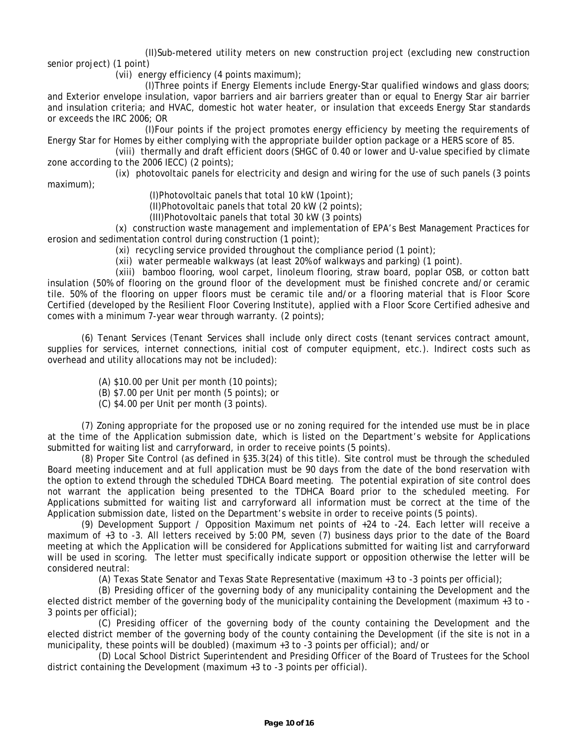(II)Sub-metered utility meters on new construction project (excluding new construction senior project) (1 point)

(vii) energy efficiency (4 points maximum);

(I)Three points if Energy Elements include Energy-Star qualified windows and glass doors; and Exterior envelope insulation, vapor barriers and air barriers greater than or equal to Energy Star air barrier and insulation criteria; and HVAC, domestic hot water heater, or insulation that exceeds Energy Star standards or exceeds the IRC 2006; OR

(I)Four points if the project promotes energy efficiency by meeting the requirements of Energy Star for Homes by either complying with the appropriate builder option package or a HERS score of 85.

(viii) thermally and draft efficient doors (SHGC of 0.40 or lower and U-value specified by climate zone according to the 2006 IECC) (2 points);

(ix) photovoltaic panels for electricity and design and wiring for the use of such panels (3 points maximum);

(I)Photovoltaic panels that total 10 kW (1point);

(II)Photovoltaic panels that total 20 kW (2 points);

(III)Photovoltaic panels that total 30 kW (3 points)

(x) construction waste management and implementation of EPA's Best Management Practices for erosion and sedimentation control during construction (1 point);

(xi) recycling service provided throughout the compliance period (1 point);

(xii) water permeable walkways (at least 20% of walkways and parking) (1 point).

(xiii) bamboo flooring, wool carpet, linoleum flooring, straw board, poplar OSB, or cotton batt insulation (50% of flooring on the ground floor of the development must be finished concrete and/or ceramic tile. 50% of the flooring on upper floors must be ceramic tile and/or a flooring material that is Floor Score Certified (developed by the Resilient Floor Covering Institute), applied with a Floor Score Certified adhesive and comes with a minimum 7-year wear through warranty. (2 points);

 overhead and utility allocations may not be included): (6) Tenant Services (Tenant Services shall include only direct costs (tenant services contract amount, supplies for services, internet connections, initial cost of computer equipment, etc.). Indirect costs such as

- (A) \$10.00 per Unit per month (10 points);
- (B) \$7.00 per Unit per month (5 points); or
- (C) \$4.00 per Unit per month (3 points).

(7) Zoning appropriate for the proposed use or no zoning required for the intended use must be in place at the time of the Application submission date, which is listed on the Department's website for Applications submitted for waiting list and carryforward, in order to receive points (5 points).

(8) Proper Site Control (as defined in §35.3(24) of this title). Site control must be through the scheduled Board meeting inducement and at full application must be 90 days from the date of the bond reservation with the option to extend through the scheduled TDHCA Board meeting. The potential expiration of site control does not warrant the application being presented to the TDHCA Board prior to the scheduled meeting. For Applications submitted for waiting list and carryforward all information must be correct at the time of the Application submission date, listed on the Department's website in order to receive points (5 points).

 (9) Development Support / Opposition Maximum net points of +24 to -24. Each letter will receive a maximum of +3 to -3. All letters received by 5:00 PM, seven (7) business days prior to the date of the Board meeting at which the Application will be considered for Applications submitted for waiting list and carryforward will be used in scoring. The letter must specifically indicate support or opposition otherwise the letter will be considered neutral:

(A) Texas State Senator and Texas State Representative (maximum +3 to -3 points per official);

(B) Presiding officer of the governing body of any municipality containing the Development and the elected district member of the governing body of the municipality containing the Development (maximum +3 to - 3 points per official);

(C) Presiding officer of the governing body of the county containing the Development and the elected district member of the governing body of the county containing the Development (if the site is not in a municipality, these points will be doubled) (maximum +3 to -3 points per official); and/or

(D) Local School District Superintendent and Presiding Officer of the Board of Trustees for the School district containing the Development (maximum +3 to -3 points per official).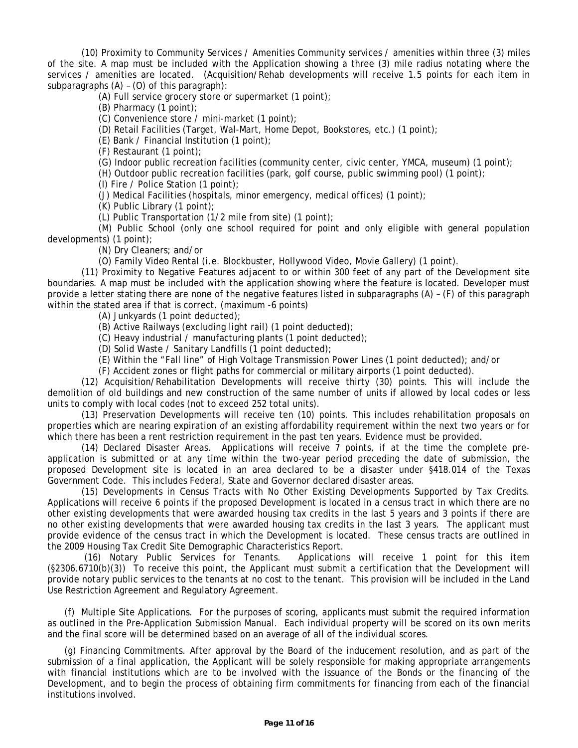(10) Proximity to Community Services / Amenities Community services / amenities within three (3) miles of the site. A map must be included with the Application showing a three (3) mile radius notating where the services / amenities are located. (Acquisition/Rehab developments will receive 1.5 points for each item in subparagraphs (A) – (O) of this paragraph):

(A) Full service grocery store or supermarket (1 point);

(B) Pharmacy (1 point);

(C) Convenience store / mini-market (1 point);

(D) Retail Facilities (Target, Wal-Mart, Home Depot, Bookstores, etc.) (1 point);

(E) Bank / Financial Institution (1 point);

(F) Restaurant (1 point);

(G) Indoor public recreation facilities (community center, civic center, YMCA, museum) (1 point);

(H) Outdoor public recreation facilities (park, golf course, public swimming pool) (1 point);

(I) Fire / Police Station (1 point);

(J) Medical Facilities (hospitals, minor emergency, medical offices) (1 point);

(K) Public Library (1 point);

(L) Public Transportation (1/2 mile from site) (1 point);

(M) Public School (only one school required for point and only eligible with general population developments) (1 point);

(N) Dry Cleaners; and/or

(O) Family Video Rental (i.e. Blockbuster, Hollywood Video, Movie Gallery) (1 point).

(11) Proximity to Negative Features adjacent to or within 300 feet of any part of the Development site boundaries. A map must be included with the application showing where the feature is located. Developer must provide a letter stating there are none of the negative features listed in subparagraphs (A) – (F) of this paragraph within the stated area if that is correct. (maximum -6 points)

(A) Junkyards (1 point deducted);

(B) Active Railways (excluding light rail) (1 point deducted);

(C) Heavy industrial / manufacturing plants (1 point deducted);

(D) Solid Waste / Sanitary Landfills (1 point deducted);

(E) Within the "Fall line" of High Voltage Transmission Power Lines (1 point deducted); and/or

(F) Accident zones or flight paths for commercial or military airports (1 point deducted).

(12) Acquisition/Rehabilitation Developments will receive thirty (30) points. This will include the demolition of old buildings and new construction of the same number of units if allowed by local codes or less units to comply with local codes (not to exceed 252 total units).

(13) Preservation Developments will receive ten (10) points. This includes rehabilitation proposals on properties which are nearing expiration of an existing affordability requirement within the next two years or for which there has been a rent restriction requirement in the past ten years. Evidence must be provided.

(14) Declared Disaster Areas. Applications will receive 7 points, if at the time the complete preapplication is submitted or at any time within the two-year period preceding the date of submission, the proposed Development site is located in an area declared to be a disaster under §418.014 of the Texas Government Code. This includes Federal, State and Governor declared disaster areas.

(15) Developments in Census Tracts with No Other Existing Developments Supported by Tax Credits. Applications will receive 6 points if the proposed Development is located in a census tract in which there are no other existing developments that were awarded housing tax credits in the last 5 years and 3 points if there are no other existing developments that were awarded housing tax credits in the last 3 years. The applicant must provide evidence of the census tract in which the Development is located. These census tracts are outlined in the 2009 Housing Tax Credit Site Demographic Characteristics Report.

 (16) Notary Public Services for Tenants. Applications will receive 1 point for this item (§2306.6710(b)(3)) To receive this point, the Applicant must submit a certification that the Development will provide notary public services to the tenants at no cost to the tenant. This provision will be included in the Land Use Restriction Agreement and Regulatory Agreement.

(f) Multiple Site Applications. For the purposes of scoring, applicants must submit the required information as outlined in the Pre-Application Submission Manual. Each individual property will be scored on its own merits and the final score will be determined based on an average of all of the individual scores.

(g) Financing Commitments. After approval by the Board of the inducement resolution, and as part of the submission of a final application, the Applicant will be solely responsible for making appropriate arrangements with financial institutions which are to be involved with the issuance of the Bonds or the financing of the Development, and to begin the process of obtaining firm commitments for financing from each of the financial institutions involved.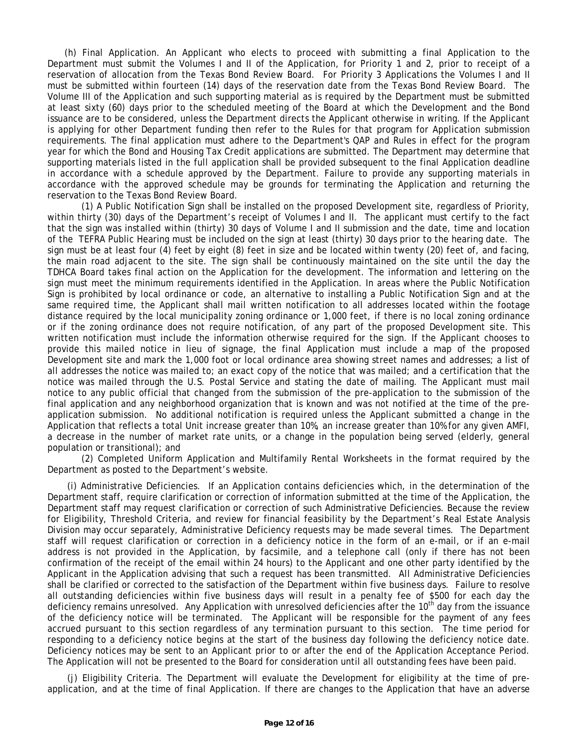Department must submit the Volumes I and II of the Application, for Priority 1 and 2, prior to receipt of a (h) Final Application. An Applicant who elects to proceed with submitting a final Application to the reservation of allocation from the Texas Bond Review Board. For Priority 3 Applications the Volumes I and II must be submitted within fourteen (14) days of the reservation date from the Texas Bond Review Board. The Volume III of the Application and such supporting material as is required by the Department must be submitted at least sixty (60) days prior to the scheduled meeting of the Board at which the Development and the Bond issuance are to be considered, unless the Department directs the Applicant otherwise in writing. If the Applicant is applying for other Department funding then refer to the Rules for that program for Application submission requirements. The final application must adhere to the Department's QAP and Rules in effect for the program year for which the Bond and Housing Tax Credit applications are submitted. The Department may determine that supporting materials listed in the full application shall be provided subsequent to the final Application deadline in accordance with a schedule approved by the Department. Failure to provide any supporting materials in accordance with the approved schedule may be grounds for terminating the Application and returning the reservation to the Texas Bond Review Board.

 (1) A Public Notification Sign shall be installed on the proposed Development site, regardless of Priority, of the TEFRA Public Hearing must be included on the sign at least (thirty) 30 days prior to the hearing date. The provide this mailed notice in lieu of signage, the final Application must include a map of the proposed within thirty (30) days of the Department's receipt of Volumes I and II. The applicant must certify to the fact that the sign was installed within (thirty) 30 days of Volume I and II submission and the date, time and location sign must be at least four (4) feet by eight (8) feet in size and be located within twenty (20) feet of, and facing, the main road adjacent to the site. The sign shall be continuously maintained on the site until the day the TDHCA Board takes final action on the Application for the development. The information and lettering on the sign must meet the minimum requirements identified in the Application. In areas where the Public Notification Sign is prohibited by local ordinance or code, an alternative to installing a Public Notification Sign and at the same required time, the Applicant shall mail written notification to all addresses located within the footage distance required by the local municipality zoning ordinance or 1,000 feet, if there is no local zoning ordinance or if the zoning ordinance does not require notification, of any part of the proposed Development site. This written notification must include the information otherwise required for the sign. If the Applicant chooses to Development site and mark the 1,000 foot or local ordinance area showing street names and addresses; a list of all addresses the notice was mailed to; an exact copy of the notice that was mailed; and a certification that the notice was mailed through the U.S. Postal Service and stating the date of mailing. The Applicant must mail notice to any public official that changed from the submission of the pre-application to the submission of the final application and any neighborhood organization that is known and was not notified at the time of the preapplication submission. No additional notification is required unless the Applicant submitted a change in the Application that reflects a total Unit increase greater than 10%, an increase greater than 10% for any given AMFI, a decrease in the number of market rate units, or a change in the population being served (elderly, general population or transitional); and

Department as posted to the Department's website. (2) Completed Uniform Application and Multifamily Rental Worksheets in the format required by the

 Deficiency notices may be sent to an Applicant prior to or after the end of the Application Acceptance Period. (i) Administrative Deficiencies. If an Application contains deficiencies which, in the determination of the Department staff, require clarification or correction of information submitted at the time of the Application, the Department staff may request clarification or correction of such Administrative Deficiencies. Because the review for Eligibility, Threshold Criteria, and review for financial feasibility by the Department's Real Estate Analysis Division may occur separately, Administrative Deficiency requests may be made several times. The Department staff will request clarification or correction in a deficiency notice in the form of an e-mail, or if an e-mail address is not provided in the Application, by facsimile, and a telephone call (only if there has not been confirmation of the receipt of the email within 24 hours) to the Applicant and one other party identified by the Applicant in the Application advising that such a request has been transmitted. All Administrative Deficiencies shall be clarified or corrected to the satisfaction of the Department within five business days. Failure to resolve all outstanding deficiencies within five business days will result in a penalty fee of \$500 for each day the deficiency remains unresolved. Any Application with unresolved deficiencies after the 10<sup>th</sup> day from the issuance of the deficiency notice will be terminated. The Applicant will be responsible for the payment of any fees accrued pursuant to this section regardless of any termination pursuant to this section. The time period for responding to a deficiency notice begins at the start of the business day following the deficiency notice date. The Application will not be presented to the Board for consideration until all outstanding fees have been paid.

(j) Eligibility Criteria. The Department will evaluate the Development for eligibility at the time of preapplication, and at the time of final Application. If there are changes to the Application that have an adverse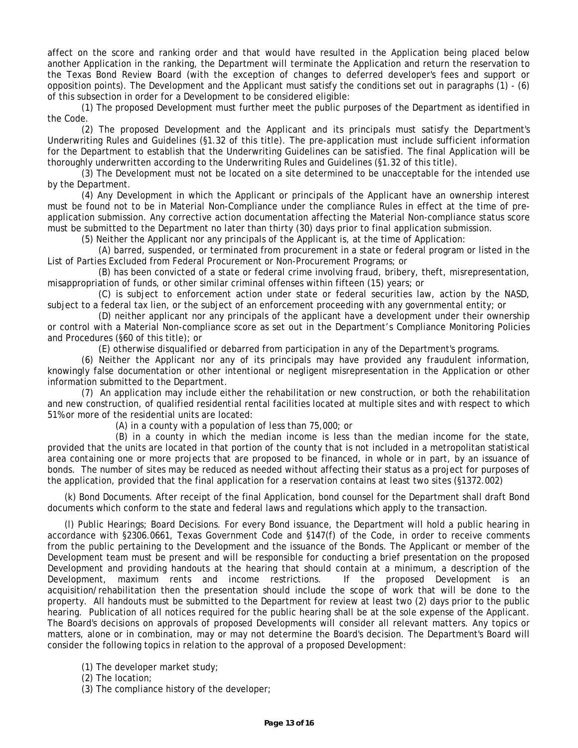affect on the score and ranking order and that would have resulted in the Application being placed below another Application in the ranking, the Department will terminate the Application and return the reservation to the Texas Bond Review Board (with the exception of changes to deferred developer's fees and support or opposition points). The Development and the Applicant must satisfy the conditions set out in paragraphs (1) - (6) of this subsection in order for a Development to be considered eligible:

(1) The proposed Development must further meet the public purposes of the Department as identified in the Code.

(2) The proposed Development and the Applicant and its principals must satisfy the Department's Underwriting Rules and Guidelines (§1.32 of this title). The pre-application must include sufficient information for the Department to establish that the Underwriting Guidelines can be satisfied. The final Application will be thoroughly underwritten according to the Underwriting Rules and Guidelines (§1.32 of this title).

(3) The Development must not be located on a site determined to be unacceptable for the intended use by the Department.

(4) Any Development in which the Applicant or principals of the Applicant have an ownership interest must be found not to be in Material Non-Compliance under the compliance Rules in effect at the time of preapplication submission. Any corrective action documentation affecting the Material Non-compliance status score must be submitted to the Department no later than thirty (30) days prior to final application submission.

(5) Neither the Applicant nor any principals of the Applicant is, at the time of Application:

List of Parties Excluded from Federal Procurement or Non-Procurement Programs; or (A) barred, suspended, or terminated from procurement in a state or federal program or listed in the

(B) has been convicted of a state or federal crime involving fraud, bribery, theft, misrepresentation, misappropriation of funds, or other similar criminal offenses within fifteen (15) years; or

(C) is subject to enforcement action under state or federal securities law, action by the NASD, subject to a federal tax lien, or the subject of an enforcement proceeding with any governmental entity; or

(D) neither applicant nor any principals of the applicant have a development under their ownership or control with a Material Non-compliance score as set out in the Department's Compliance Monitoring Policies and Procedures (§60 of this title); or

(E) otherwise disqualified or debarred from participation in any of the Department's programs.

 knowingly false documentation or other intentional or negligent misrepresentation in the Application or other (6) Neither the Applicant nor any of its principals may have provided any fraudulent information, information submitted to the Department.

(7) An application may include either the rehabilitation or new construction, or both the rehabilitation and new construction, of qualified residential rental facilities located at multiple sites and with respect to which 51% or more of the residential units are located:

(A) in a county with a population of less than 75,000; or

(B) in a county in which the median income is less than the median income for the state, provided that the units are located in that portion of the county that is not included in a metropolitan statistical area containing one or more projects that are proposed to be financed, in whole or in part, by an issuance of bonds. The number of sites may be reduced as needed without affecting their status as a project for purposes of the application, provided that the final application for a reservation contains at least two sites (§1372.002)

(k) Bond Documents. After receipt of the final Application, bond counsel for the Department shall draft Bond documents which conform to the state and federal laws and regulations which apply to the transaction.

 The Board's decisions on approvals of proposed Developments will consider all relevant matters. Any topics or (l) Public Hearings; Board Decisions. For every Bond issuance, the Department will hold a public hearing in accordance with §2306.0661, Texas Government Code and §147(f) of the Code, in order to receive comments from the public pertaining to the Development and the issuance of the Bonds. The Applicant or member of the Development team must be present and will be responsible for conducting a brief presentation on the proposed Development and providing handouts at the hearing that should contain at a minimum, a description of the Development, maximum rents and income restrictions. If the proposed Development is an acquisition/rehabilitation then the presentation should include the scope of work that will be done to the property. All handouts must be submitted to the Department for review at least two (2) days prior to the public hearing. Publication of all notices required for the public hearing shall be at the sole expense of the Applicant. matters, alone or in combination, may or may not determine the Board's decision. The Department's Board will consider the following topics in relation to the approval of a proposed Development:

(1) The developer market study;

(2) The location;

(3) The compliance history of the developer;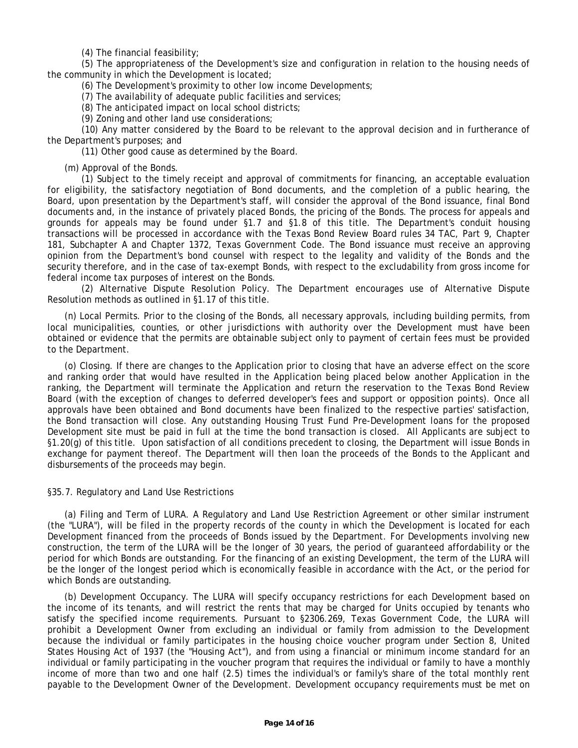(4) The financial feasibility;

(5) The appropriateness of the Development's size and configuration in relation to the housing needs of the community in which the Development is located;

(6) The Development's proximity to other low income Developments;

(7) The availability of adequate public facilities and services;

(8) The anticipated impact on local school districts;

(9) Zoning and other land use considerations;

(10) Any matter considered by the Board to be relevant to the approval decision and in furtherance of the Department's purposes; and

(11) Other good cause as determined by the Board.

(m) Approval of the Bonds.

 documents and, in the instance of privately placed Bonds, the pricing of the Bonds. The process for appeals and security therefore, and in the case of tax-exempt Bonds, with respect to the excludability from gross income for (1) Subject to the timely receipt and approval of commitments for financing, an acceptable evaluation for eligibility, the satisfactory negotiation of Bond documents, and the completion of a public hearing, the Board, upon presentation by the Department's staff, will consider the approval of the Bond issuance, final Bond grounds for appeals may be found under §1.7 and §1.8 of this title. The Department's conduit housing transactions will be processed in accordance with the Texas Bond Review Board rules 34 TAC, Part 9, Chapter 181, Subchapter A and Chapter 1372, Texas Government Code. The Bond issuance must receive an approving opinion from the Department's bond counsel with respect to the legality and validity of the Bonds and the federal income tax purposes of interest on the Bonds.

(2) Alternative Dispute Resolution Policy. The Department encourages use of Alternative Dispute Resolution methods as outlined in §1.17 of this title.

 obtained or evidence that the permits are obtainable subject only to payment of certain fees must be provided (n) Local Permits. Prior to the closing of the Bonds, all necessary approvals, including building permits, from local municipalities, counties, or other jurisdictions with authority over the Development must have been to the Department.

(o) Closing. If there are changes to the Application prior to closing that have an adverse effect on the score and ranking order that would have resulted in the Application being placed below another Application in the ranking, the Department will terminate the Application and return the reservation to the Texas Bond Review Board (with the exception of changes to deferred developer's fees and support or opposition points). Once all approvals have been obtained and Bond documents have been finalized to the respective parties' satisfaction, the Bond transaction will close. Any outstanding Housing Trust Fund Pre-Development loans for the proposed Development site must be paid in full at the time the bond transaction is closed. All Applicants are subject to §1.20(g) of this title. Upon satisfaction of all conditions precedent to closing, the Department will issue Bonds in exchange for payment thereof. The Department will then loan the proceeds of the Bonds to the Applicant and disbursements of the proceeds may begin.

#### §35.7. Regulatory and Land Use Restrictions

(a) Filing and Term of LURA. A Regulatory and Land Use Restriction Agreement or other similar instrument (the "LURA"), will be filed in the property records of the county in which the Development is located for each Development financed from the proceeds of Bonds issued by the Department. For Developments involving new construction, the term of the LURA will be the longer of 30 years, the period of guaranteed affordability or the period for which Bonds are outstanding. For the financing of an existing Development, the term of the LURA will be the longer of the longest period which is economically feasible in accordance with the Act, or the period for which Bonds are outstanding.

 States Housing Act of 1937 (the "Housing Act"), and from using a financial or minimum income standard for an individual or family participating in the voucher program that requires the individual or family to have a monthly (b) Development Occupancy. The LURA will specify occupancy restrictions for each Development based on the income of its tenants, and will restrict the rents that may be charged for Units occupied by tenants who satisfy the specified income requirements. Pursuant to §2306.269, Texas Government Code, the LURA will prohibit a Development Owner from excluding an individual or family from admission to the Development because the individual or family participates in the housing choice voucher program under Section 8, United income of more than two and one half (2.5) times the individual's or family's share of the total monthly rent payable to the Development Owner of the Development. Development occupancy requirements must be met on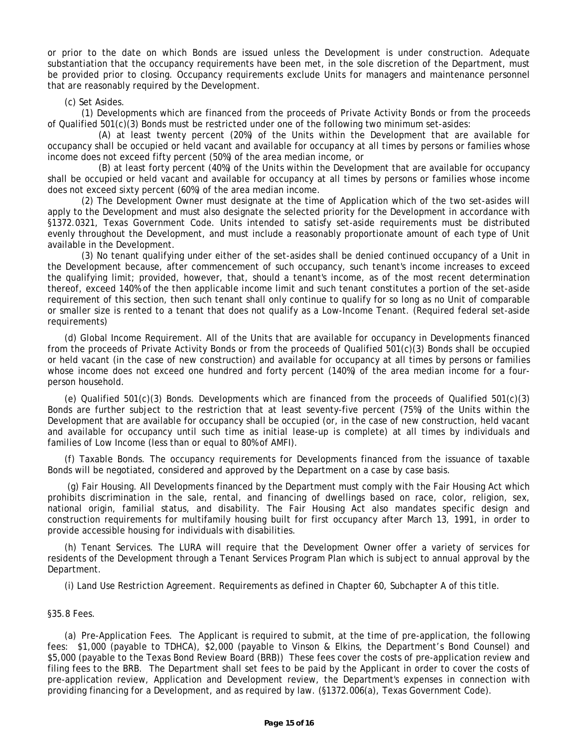or prior to the date on which Bonds are issued unless the Development is under construction. Adequate substantiation that the occupancy requirements have been met, in the sole discretion of the Department, must be provided prior to closing. Occupancy requirements exclude Units for managers and maintenance personnel that are reasonably required by the Development.

# (c) Set Asides.

(1) Developments which are financed from the proceeds of Private Activity Bonds or from the proceeds of Qualified 501(c)(3) Bonds must be restricted under one of the following two minimum set-asides:

(A) at least twenty percent (20%) of the Units within the Development that are available for occupancy shall be occupied or held vacant and available for occupancy at all times by persons or families whose income does not exceed fifty percent (50%) of the area median income, or

(B) at least forty percent (40%) of the Units within the Development that are available for occupancy shall be occupied or held vacant and available for occupancy at all times by persons or families whose income does not exceed sixty percent (60%) of the area median income.

(2) The Development Owner must designate at the time of Application which of the two set-asides will apply to the Development and must also designate the selected priority for the Development in accordance with §1372.0321, Texas Government Code. Units intended to satisfy set-aside requirements must be distributed evenly throughout the Development, and must include a reasonably proportionate amount of each type of Unit available in the Development.

(3) No tenant qualifying under either of the set-asides shall be denied continued occupancy of a Unit in the Development because, after commencement of such occupancy, such tenant's income increases to exceed the qualifying limit; provided, however, that, should a tenant's income, as of the most recent determination thereof, exceed 140% of the then applicable income limit and such tenant constitutes a portion of the set-aside requirement of this section, then such tenant shall only continue to qualify for so long as no Unit of comparable or smaller size is rented to a tenant that does not qualify as a Low-Income Tenant. (Required federal set-aside requirements)

 (d) Global Income Requirement. All of the Units that are available for occupancy in Developments financed from the proceeds of Private Activity Bonds or from the proceeds of Qualified 501(c)(3) Bonds shall be occupied or held vacant (in the case of new construction) and available for occupancy at all times by persons or families whose income does not exceed one hundred and forty percent (140%) of the area median income for a fourperson household.

(e) Qualified 501(c)(3) Bonds. Developments which are financed from the proceeds of Qualified 501(c)(3) Bonds are further subject to the restriction that at least seventy-five percent (75%) of the Units within the Development that are available for occupancy shall be occupied (or, in the case of new construction, held vacant and available for occupancy until such time as initial lease-up is complete) at all times by individuals and families of Low Income (less than or equal to 80% of AMFI).

(f) Taxable Bonds. The occupancy requirements for Developments financed from the issuance of taxable Bonds will be negotiated, considered and approved by the Department on a case by case basis.

(g) Fair Housing. All Developments financed by the Department must comply with the Fair Housing Act which prohibits discrimination in the sale, rental, and financing of dwellings based on race, color, religion, sex, national origin, familial status, and disability. The Fair Housing Act also mandates specific design and construction requirements for multifamily housing built for first occupancy after March 13, 1991, in order to provide accessible housing for individuals with disabilities.

(h) Tenant Services. The LURA will require that the Development Owner offer a variety of services for residents of the Development through a Tenant Services Program Plan which is subject to annual approval by the Department.

(i) Land Use Restriction Agreement. Requirements as defined in Chapter 60, Subchapter A of this title.

# §35.8 Fees.

 providing financing for a Development, and as required by law. (§1372.006(a), Texas Government Code). (a) Pre-Application Fees. The Applicant is required to submit, at the time of pre-application, the following fees: \$1,000 (payable to TDHCA), \$2,000 (payable to Vinson & Elkins, the Department's Bond Counsel) and \$5,000 (payable to the Texas Bond Review Board (BRB)) These fees cover the costs of pre-application review and filing fees to the BRB. The Department shall set fees to be paid by the Applicant in order to cover the costs of pre-application review, Application and Development review, the Department's expenses in connection with